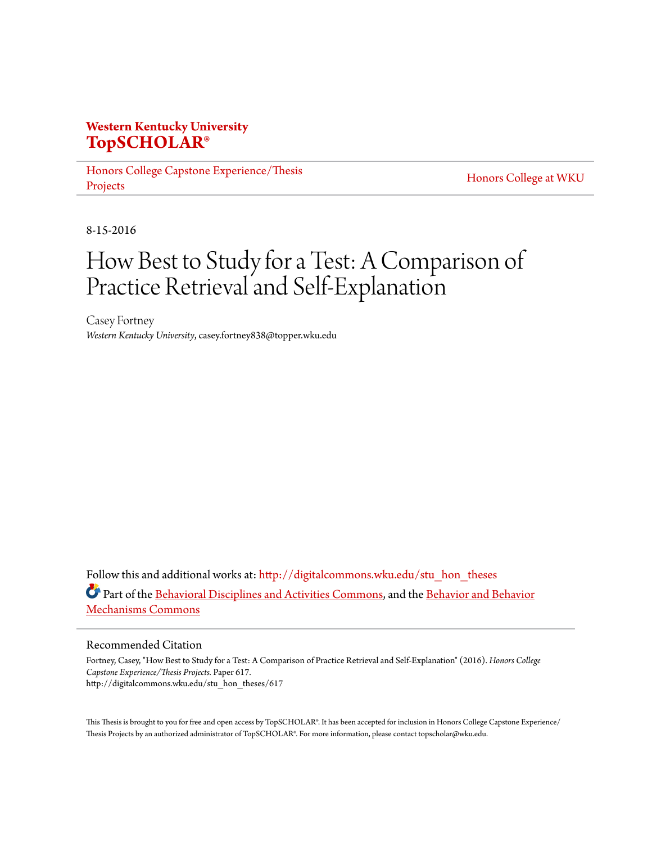# **Western Kentucky University [TopSCHOLAR®](http://digitalcommons.wku.edu?utm_source=digitalcommons.wku.edu%2Fstu_hon_theses%2F617&utm_medium=PDF&utm_campaign=PDFCoverPages)**

[Honors College Capstone Experience/Thesis](http://digitalcommons.wku.edu/stu_hon_theses?utm_source=digitalcommons.wku.edu%2Fstu_hon_theses%2F617&utm_medium=PDF&utm_campaign=PDFCoverPages) [Projects](http://digitalcommons.wku.edu/stu_hon_theses?utm_source=digitalcommons.wku.edu%2Fstu_hon_theses%2F617&utm_medium=PDF&utm_campaign=PDFCoverPages)

[Honors College at WKU](http://digitalcommons.wku.edu/honors_prog?utm_source=digitalcommons.wku.edu%2Fstu_hon_theses%2F617&utm_medium=PDF&utm_campaign=PDFCoverPages)

8-15-2016

# How Best to Study for a Test: A Comparison of Practice Retrieval and Self-Explanation

Casey Fortney *Western Kentucky University*, casey.fortney838@topper.wku.edu

Follow this and additional works at: [http://digitalcommons.wku.edu/stu\\_hon\\_theses](http://digitalcommons.wku.edu/stu_hon_theses?utm_source=digitalcommons.wku.edu%2Fstu_hon_theses%2F617&utm_medium=PDF&utm_campaign=PDFCoverPages) Part of the [Behavioral Disciplines and Activities Commons,](http://network.bepress.com/hgg/discipline/980?utm_source=digitalcommons.wku.edu%2Fstu_hon_theses%2F617&utm_medium=PDF&utm_campaign=PDFCoverPages) and the [Behavior and Behavior](http://network.bepress.com/hgg/discipline/963?utm_source=digitalcommons.wku.edu%2Fstu_hon_theses%2F617&utm_medium=PDF&utm_campaign=PDFCoverPages) [Mechanisms Commons](http://network.bepress.com/hgg/discipline/963?utm_source=digitalcommons.wku.edu%2Fstu_hon_theses%2F617&utm_medium=PDF&utm_campaign=PDFCoverPages)

#### Recommended Citation

Fortney, Casey, "How Best to Study for a Test: A Comparison of Practice Retrieval and Self-Explanation" (2016). *Honors College Capstone Experience/Thesis Projects.* Paper 617. http://digitalcommons.wku.edu/stu\_hon\_theses/617

This Thesis is brought to you for free and open access by TopSCHOLAR®. It has been accepted for inclusion in Honors College Capstone Experience/ Thesis Projects by an authorized administrator of TopSCHOLAR®. For more information, please contact topscholar@wku.edu.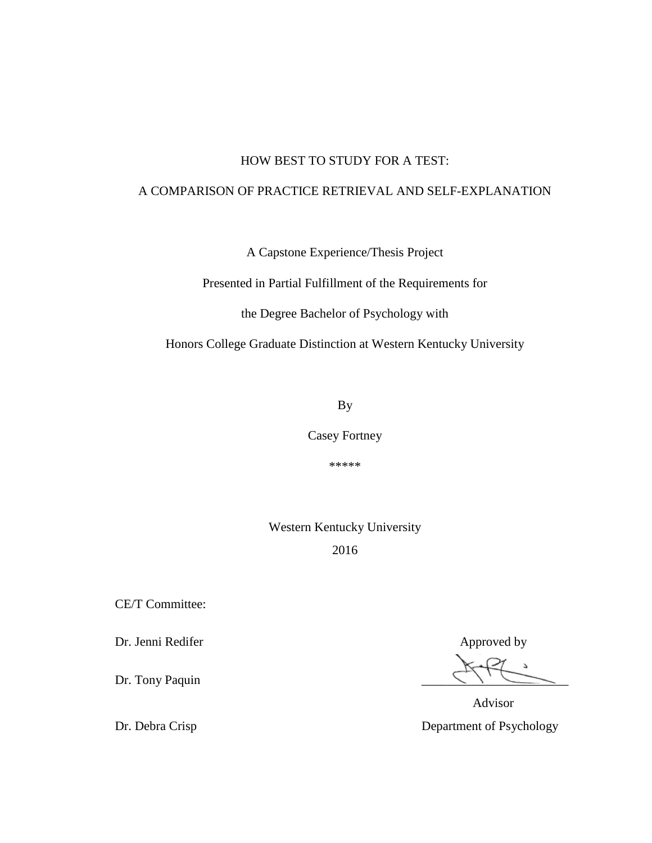# HOW BEST TO STUDY FOR A TEST:

# A COMPARISON OF PRACTICE RETRIEVAL AND SELF-EXPLANATION

A Capstone Experience/Thesis Project

Presented in Partial Fulfillment of the Requirements for

the Degree Bachelor of Psychology with

Honors College Graduate Distinction at Western Kentucky University

By

Casey Fortney

\*\*\*\*\*

Western Kentucky University

2016

CE/T Committee:

Dr. Jenni Redifer Approved by Approved by

Dr. Tony Paquin

 Advisor Dr. Debra Crisp Department of Psychology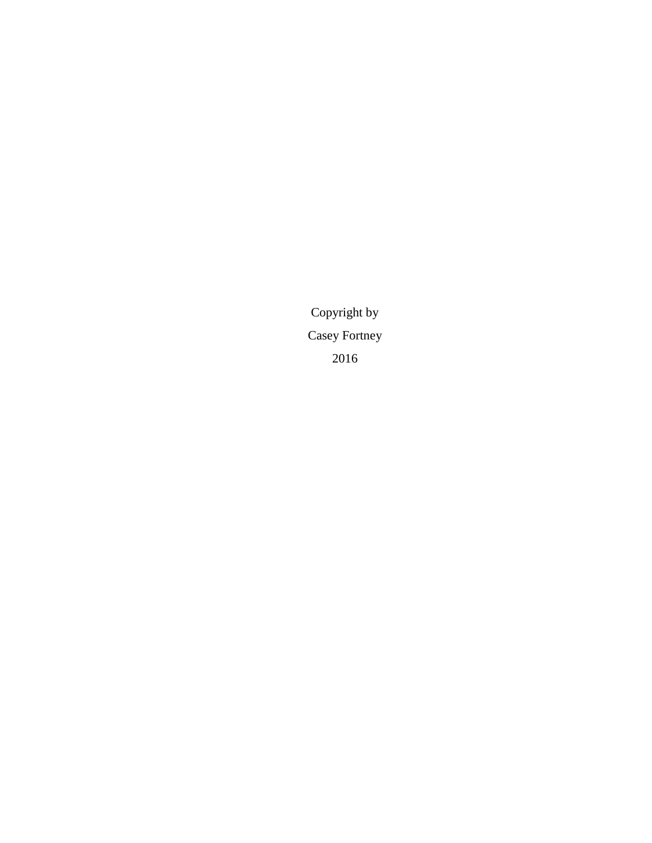Copyright by Casey Fortney 2016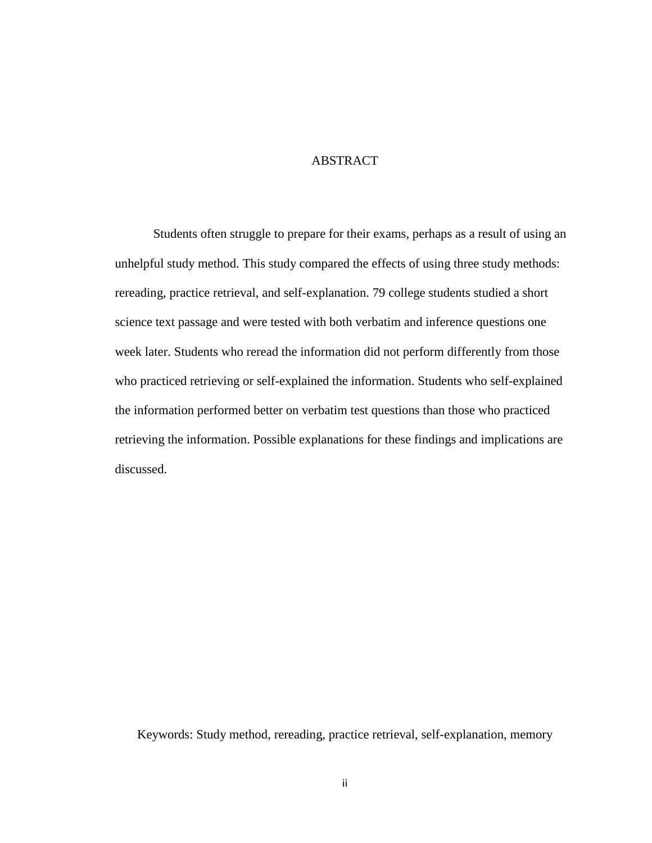# **ABSTRACT**

Students often struggle to prepare for their exams, perhaps as a result of using an unhelpful study method. This study compared the effects of using three study methods: rereading, practice retrieval, and self-explanation. 79 college students studied a short science text passage and were tested with both verbatim and inference questions one week later. Students who reread the information did not perform differently from those who practiced retrieving or self-explained the information. Students who self-explained the information performed better on verbatim test questions than those who practiced retrieving the information. Possible explanations for these findings and implications are discussed.

Keywords: Study method, rereading, practice retrieval, self-explanation, memory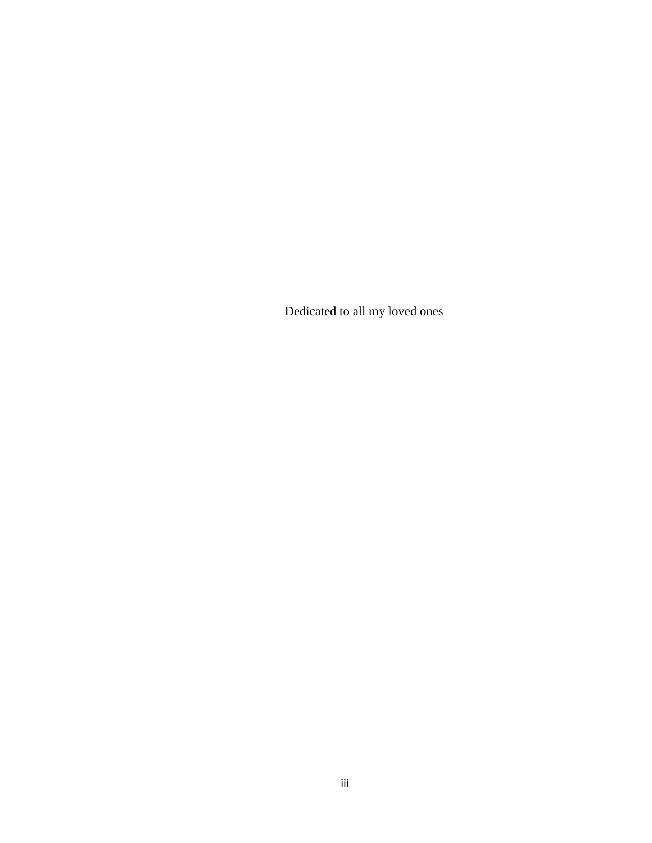Dedicated to all my loved ones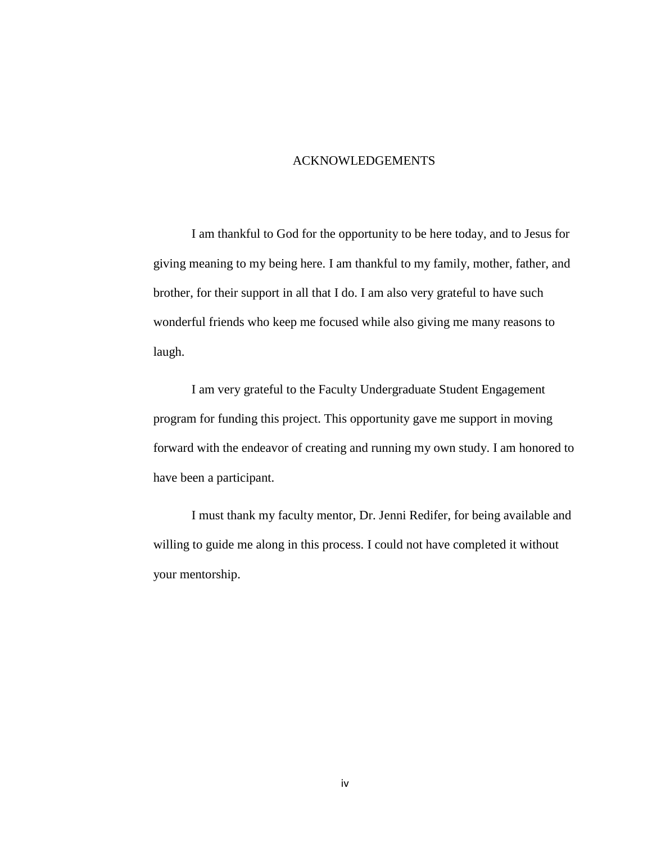# ACKNOWLEDGEMENTS

I am thankful to God for the opportunity to be here today, and to Jesus for giving meaning to my being here. I am thankful to my family, mother, father, and brother, for their support in all that I do. I am also very grateful to have such wonderful friends who keep me focused while also giving me many reasons to laugh.

I am very grateful to the Faculty Undergraduate Student Engagement program for funding this project. This opportunity gave me support in moving forward with the endeavor of creating and running my own study. I am honored to have been a participant.

I must thank my faculty mentor, Dr. Jenni Redifer, for being available and willing to guide me along in this process. I could not have completed it without your mentorship.

iv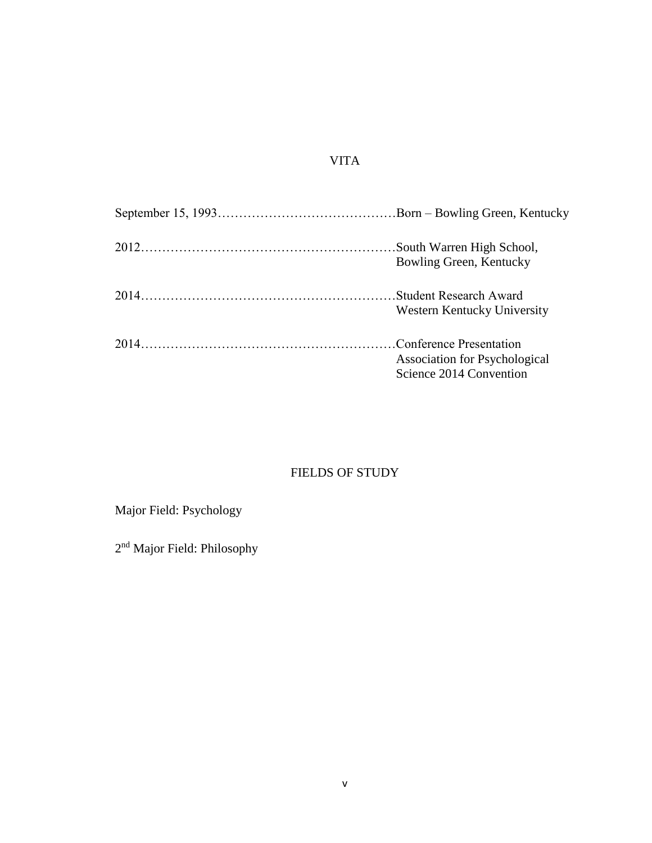# VITA

| Bowling Green, Kentucky                                  |
|----------------------------------------------------------|
| Western Kentucky University                              |
| Association for Psychological<br>Science 2014 Convention |

# FIELDS OF STUDY

Major Field: Psychology

2<sup>nd</sup> Major Field: Philosophy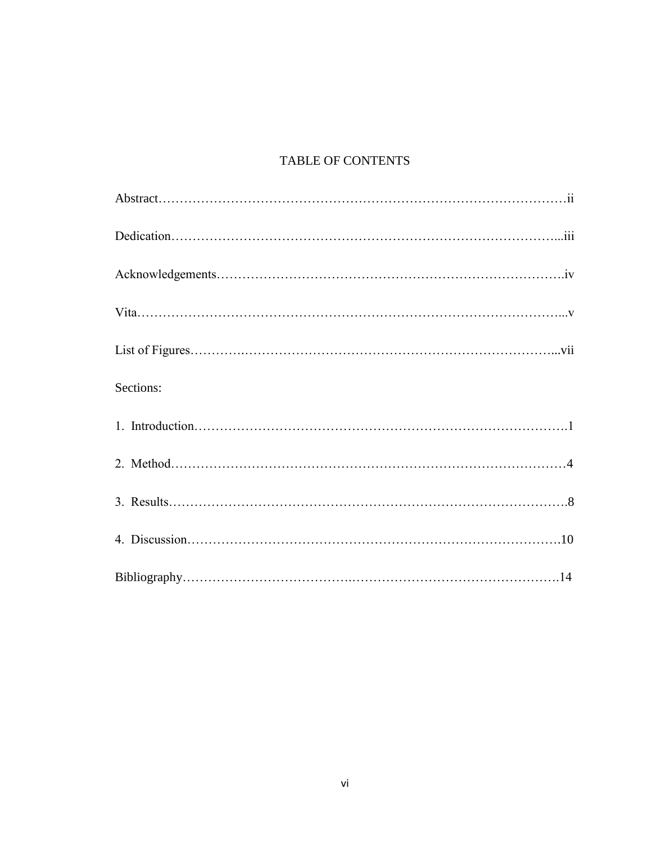# TABLE OF CONTENTS

| Sections: |
|-----------|
|           |
|           |
|           |
|           |
|           |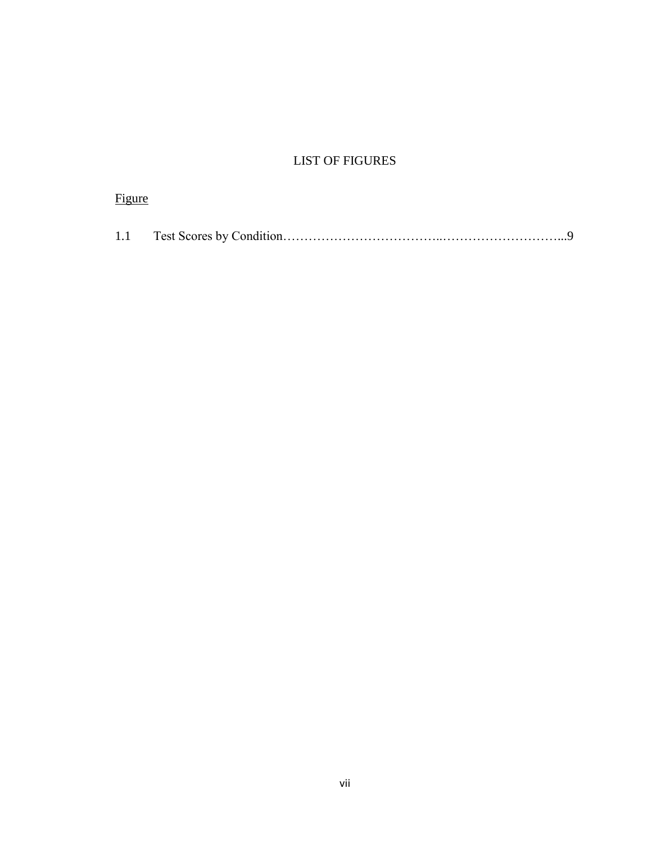# LIST OF FIGURES

| <b>Figure</b> |  |
|---------------|--|
|               |  |
|               |  |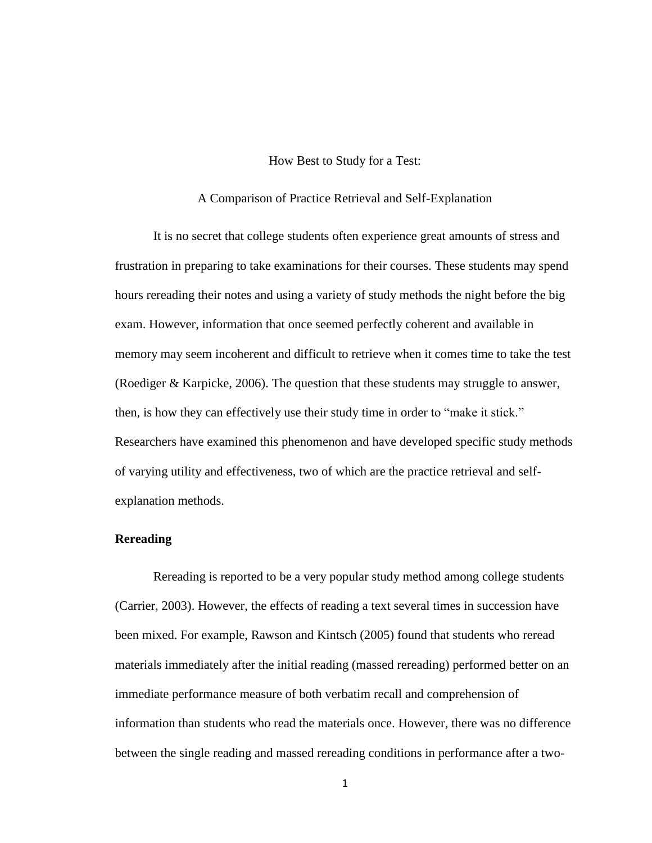# How Best to Study for a Test:

## A Comparison of Practice Retrieval and Self-Explanation

It is no secret that college students often experience great amounts of stress and frustration in preparing to take examinations for their courses. These students may spend hours rereading their notes and using a variety of study methods the night before the big exam. However, information that once seemed perfectly coherent and available in memory may seem incoherent and difficult to retrieve when it comes time to take the test (Roediger & Karpicke, 2006). The question that these students may struggle to answer, then, is how they can effectively use their study time in order to "make it stick." Researchers have examined this phenomenon and have developed specific study methods of varying utility and effectiveness, two of which are the practice retrieval and selfexplanation methods.

# **Rereading**

Rereading is reported to be a very popular study method among college students (Carrier, 2003). However, the effects of reading a text several times in succession have been mixed. For example, Rawson and Kintsch (2005) found that students who reread materials immediately after the initial reading (massed rereading) performed better on an immediate performance measure of both verbatim recall and comprehension of information than students who read the materials once. However, there was no difference between the single reading and massed rereading conditions in performance after a two-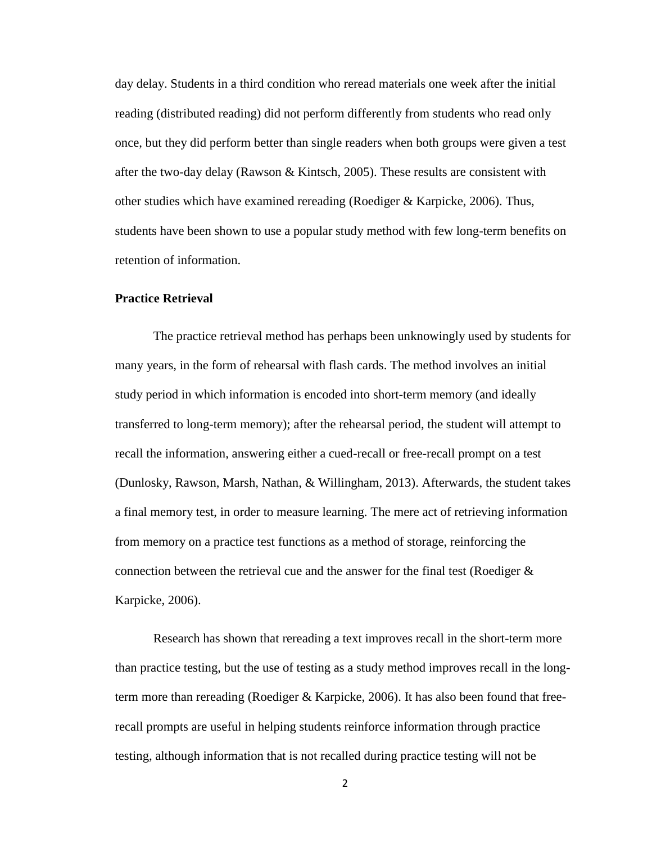day delay. Students in a third condition who reread materials one week after the initial reading (distributed reading) did not perform differently from students who read only once, but they did perform better than single readers when both groups were given a test after the two-day delay (Rawson & Kintsch, 2005). These results are consistent with other studies which have examined rereading (Roediger & Karpicke, 2006). Thus, students have been shown to use a popular study method with few long-term benefits on retention of information.

# **Practice Retrieval**

The practice retrieval method has perhaps been unknowingly used by students for many years, in the form of rehearsal with flash cards. The method involves an initial study period in which information is encoded into short-term memory (and ideally transferred to long-term memory); after the rehearsal period, the student will attempt to recall the information, answering either a cued-recall or free-recall prompt on a test (Dunlosky, Rawson, Marsh, Nathan, & Willingham, 2013). Afterwards, the student takes a final memory test, in order to measure learning. The mere act of retrieving information from memory on a practice test functions as a method of storage, reinforcing the connection between the retrieval cue and the answer for the final test (Roediger  $\&$ Karpicke, 2006).

Research has shown that rereading a text improves recall in the short-term more than practice testing, but the use of testing as a study method improves recall in the longterm more than rereading (Roediger & Karpicke, 2006). It has also been found that freerecall prompts are useful in helping students reinforce information through practice testing, although information that is not recalled during practice testing will not be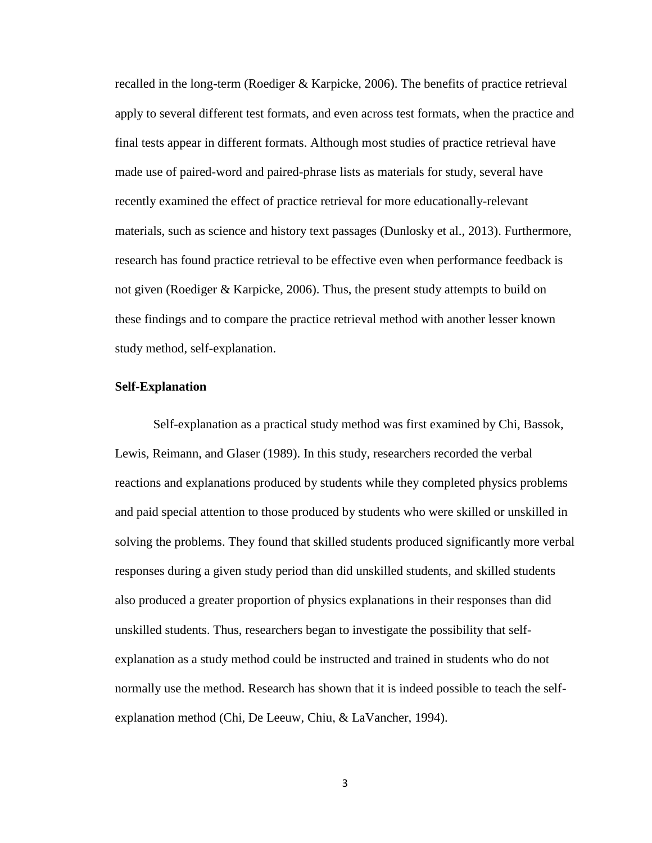recalled in the long-term (Roediger & Karpicke, 2006). The benefits of practice retrieval apply to several different test formats, and even across test formats, when the practice and final tests appear in different formats. Although most studies of practice retrieval have made use of paired-word and paired-phrase lists as materials for study, several have recently examined the effect of practice retrieval for more educationally-relevant materials, such as science and history text passages (Dunlosky et al., 2013). Furthermore, research has found practice retrieval to be effective even when performance feedback is not given (Roediger & Karpicke, 2006). Thus, the present study attempts to build on these findings and to compare the practice retrieval method with another lesser known study method, self-explanation.

# **Self-Explanation**

Self-explanation as a practical study method was first examined by Chi, Bassok, Lewis, Reimann, and Glaser (1989). In this study, researchers recorded the verbal reactions and explanations produced by students while they completed physics problems and paid special attention to those produced by students who were skilled or unskilled in solving the problems. They found that skilled students produced significantly more verbal responses during a given study period than did unskilled students, and skilled students also produced a greater proportion of physics explanations in their responses than did unskilled students. Thus, researchers began to investigate the possibility that selfexplanation as a study method could be instructed and trained in students who do not normally use the method. Research has shown that it is indeed possible to teach the selfexplanation method (Chi, De Leeuw, Chiu, & LaVancher, 1994).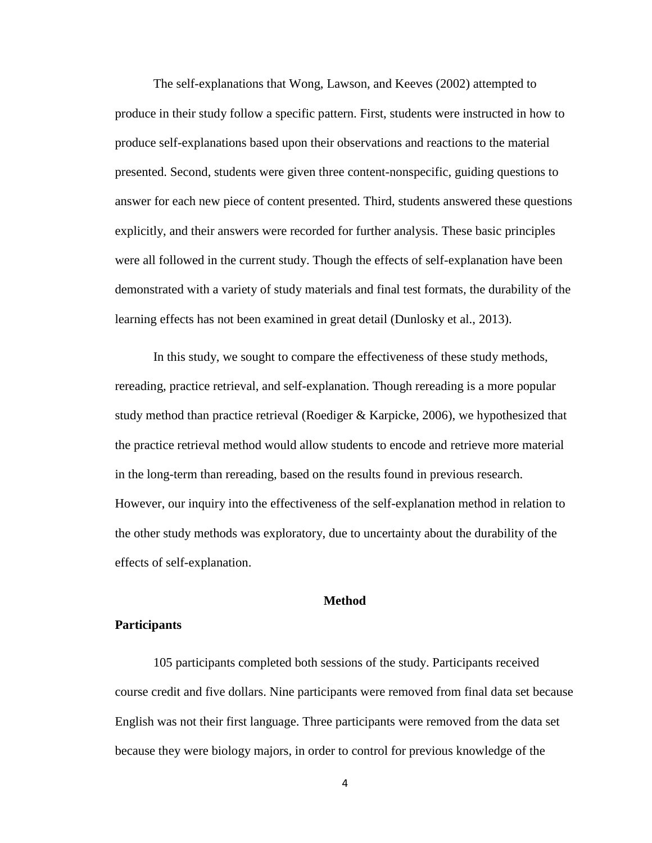The self-explanations that Wong, Lawson, and Keeves (2002) attempted to produce in their study follow a specific pattern. First, students were instructed in how to produce self-explanations based upon their observations and reactions to the material presented. Second, students were given three content-nonspecific, guiding questions to answer for each new piece of content presented. Third, students answered these questions explicitly, and their answers were recorded for further analysis. These basic principles were all followed in the current study. Though the effects of self-explanation have been demonstrated with a variety of study materials and final test formats, the durability of the learning effects has not been examined in great detail (Dunlosky et al., 2013).

In this study, we sought to compare the effectiveness of these study methods, rereading, practice retrieval, and self-explanation. Though rereading is a more popular study method than practice retrieval (Roediger & Karpicke, 2006), we hypothesized that the practice retrieval method would allow students to encode and retrieve more material in the long-term than rereading, based on the results found in previous research. However, our inquiry into the effectiveness of the self-explanation method in relation to the other study methods was exploratory, due to uncertainty about the durability of the effects of self-explanation.

### **Method**

#### **Participants**

105 participants completed both sessions of the study. Participants received course credit and five dollars. Nine participants were removed from final data set because English was not their first language. Three participants were removed from the data set because they were biology majors, in order to control for previous knowledge of the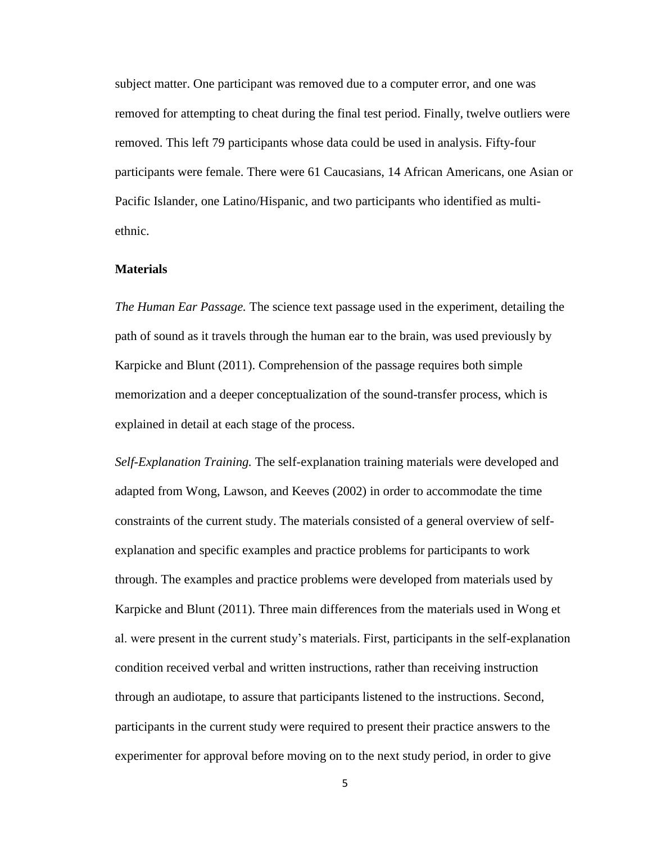subject matter. One participant was removed due to a computer error, and one was removed for attempting to cheat during the final test period. Finally, twelve outliers were removed. This left 79 participants whose data could be used in analysis. Fifty-four participants were female. There were 61 Caucasians, 14 African Americans, one Asian or Pacific Islander, one Latino/Hispanic, and two participants who identified as multiethnic.

## **Materials**

*The Human Ear Passage.* The science text passage used in the experiment, detailing the path of sound as it travels through the human ear to the brain, was used previously by Karpicke and Blunt (2011). Comprehension of the passage requires both simple memorization and a deeper conceptualization of the sound-transfer process, which is explained in detail at each stage of the process.

*Self-Explanation Training.* The self-explanation training materials were developed and adapted from Wong, Lawson, and Keeves (2002) in order to accommodate the time constraints of the current study. The materials consisted of a general overview of selfexplanation and specific examples and practice problems for participants to work through. The examples and practice problems were developed from materials used by Karpicke and Blunt (2011). Three main differences from the materials used in Wong et al. were present in the current study's materials. First, participants in the self-explanation condition received verbal and written instructions, rather than receiving instruction through an audiotape, to assure that participants listened to the instructions. Second, participants in the current study were required to present their practice answers to the experimenter for approval before moving on to the next study period, in order to give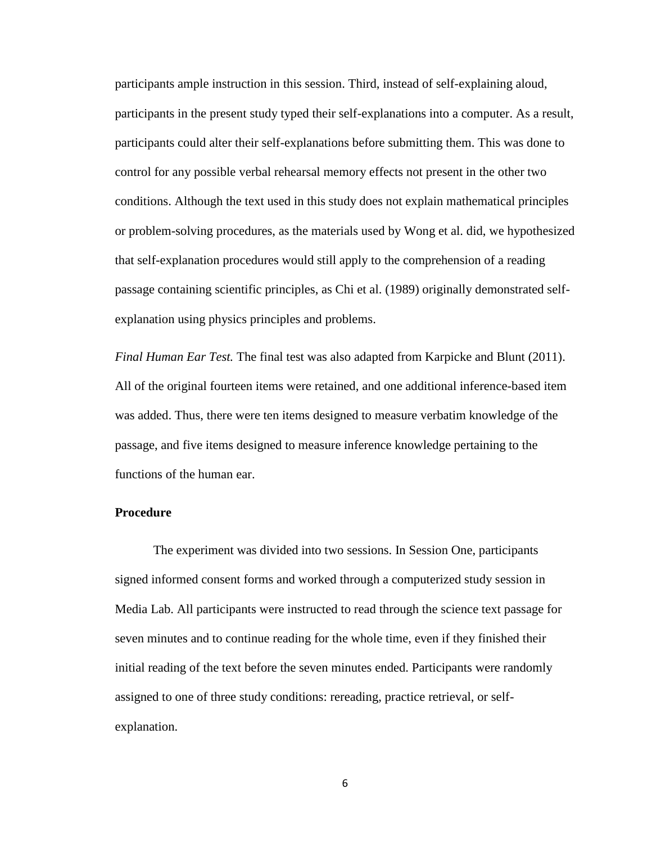participants ample instruction in this session. Third, instead of self-explaining aloud, participants in the present study typed their self-explanations into a computer. As a result, participants could alter their self-explanations before submitting them. This was done to control for any possible verbal rehearsal memory effects not present in the other two conditions. Although the text used in this study does not explain mathematical principles or problem-solving procedures, as the materials used by Wong et al. did, we hypothesized that self-explanation procedures would still apply to the comprehension of a reading passage containing scientific principles, as Chi et al. (1989) originally demonstrated selfexplanation using physics principles and problems.

*Final Human Ear Test.* The final test was also adapted from Karpicke and Blunt (2011). All of the original fourteen items were retained, and one additional inference-based item was added. Thus, there were ten items designed to measure verbatim knowledge of the passage, and five items designed to measure inference knowledge pertaining to the functions of the human ear.

## **Procedure**

The experiment was divided into two sessions. In Session One, participants signed informed consent forms and worked through a computerized study session in Media Lab. All participants were instructed to read through the science text passage for seven minutes and to continue reading for the whole time, even if they finished their initial reading of the text before the seven minutes ended. Participants were randomly assigned to one of three study conditions: rereading, practice retrieval, or selfexplanation.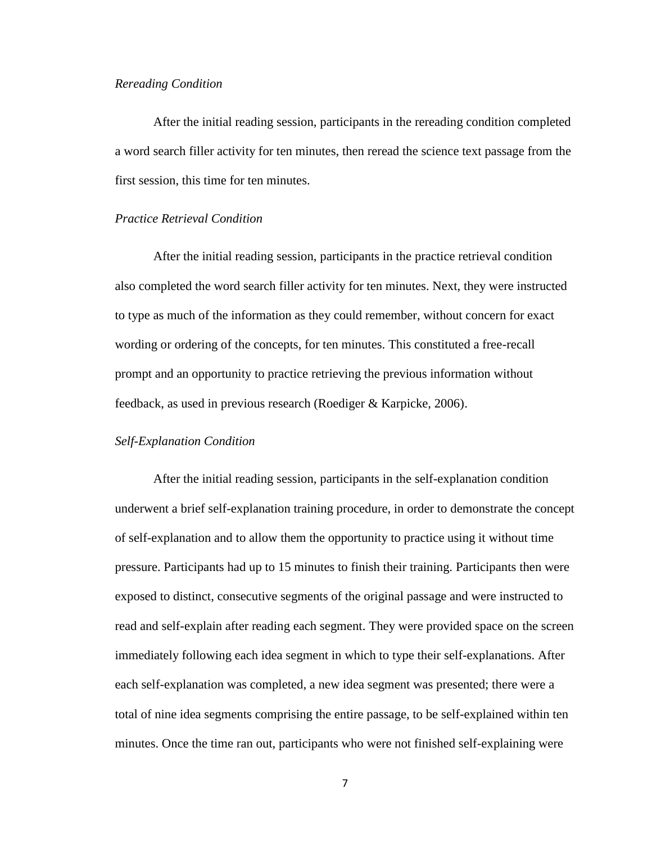#### *Rereading Condition*

After the initial reading session, participants in the rereading condition completed a word search filler activity for ten minutes, then reread the science text passage from the first session, this time for ten minutes.

# *Practice Retrieval Condition*

After the initial reading session, participants in the practice retrieval condition also completed the word search filler activity for ten minutes. Next, they were instructed to type as much of the information as they could remember, without concern for exact wording or ordering of the concepts, for ten minutes. This constituted a free-recall prompt and an opportunity to practice retrieving the previous information without feedback, as used in previous research (Roediger & Karpicke, 2006).

#### *Self-Explanation Condition*

After the initial reading session, participants in the self-explanation condition underwent a brief self-explanation training procedure, in order to demonstrate the concept of self-explanation and to allow them the opportunity to practice using it without time pressure. Participants had up to 15 minutes to finish their training. Participants then were exposed to distinct, consecutive segments of the original passage and were instructed to read and self-explain after reading each segment. They were provided space on the screen immediately following each idea segment in which to type their self-explanations. After each self-explanation was completed, a new idea segment was presented; there were a total of nine idea segments comprising the entire passage, to be self-explained within ten minutes. Once the time ran out, participants who were not finished self-explaining were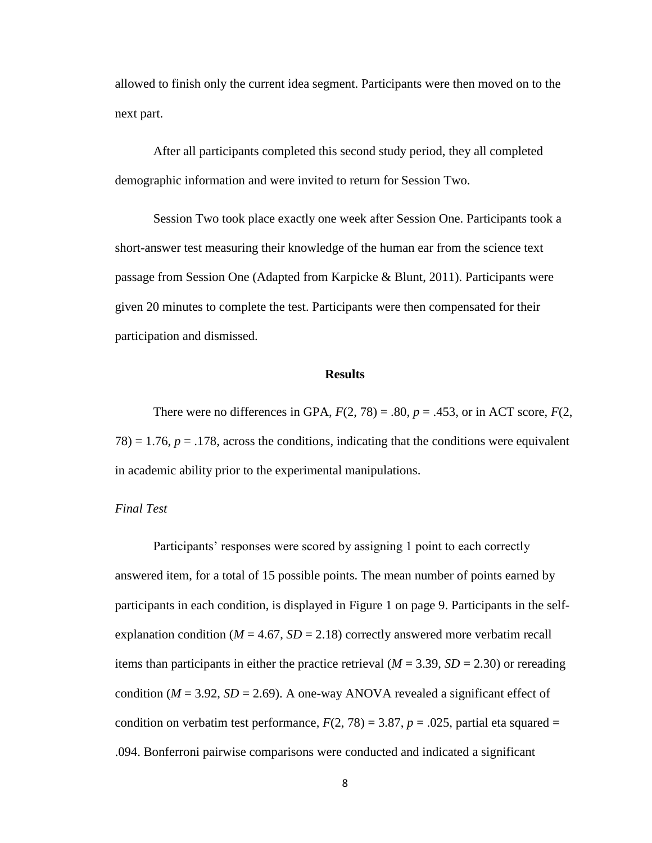allowed to finish only the current idea segment. Participants were then moved on to the next part.

After all participants completed this second study period, they all completed demographic information and were invited to return for Session Two.

Session Two took place exactly one week after Session One. Participants took a short-answer test measuring their knowledge of the human ear from the science text passage from Session One (Adapted from Karpicke & Blunt, 2011). Participants were given 20 minutes to complete the test. Participants were then compensated for their participation and dismissed.

#### **Results**

There were no differences in GPA,  $F(2, 78) = .80$ ,  $p = .453$ , or in ACT score,  $F(2, 78) = .80$  $78$ ) = 1.76,  $p = 0.178$ , across the conditions, indicating that the conditions were equivalent in academic ability prior to the experimental manipulations.

#### *Final Test*

Participants' responses were scored by assigning 1 point to each correctly answered item, for a total of 15 possible points. The mean number of points earned by participants in each condition, is displayed in Figure 1 on page 9. Participants in the selfexplanation condition ( $M = 4.67$ ,  $SD = 2.18$ ) correctly answered more verbatim recall items than participants in either the practice retrieval  $(M = 3.39, SD = 2.30)$  or rereading condition ( $M = 3.92$ ,  $SD = 2.69$ ). A one-way ANOVA revealed a significant effect of condition on verbatim test performance,  $F(2, 78) = 3.87$ ,  $p = .025$ , partial eta squared = .094. Bonferroni pairwise comparisons were conducted and indicated a significant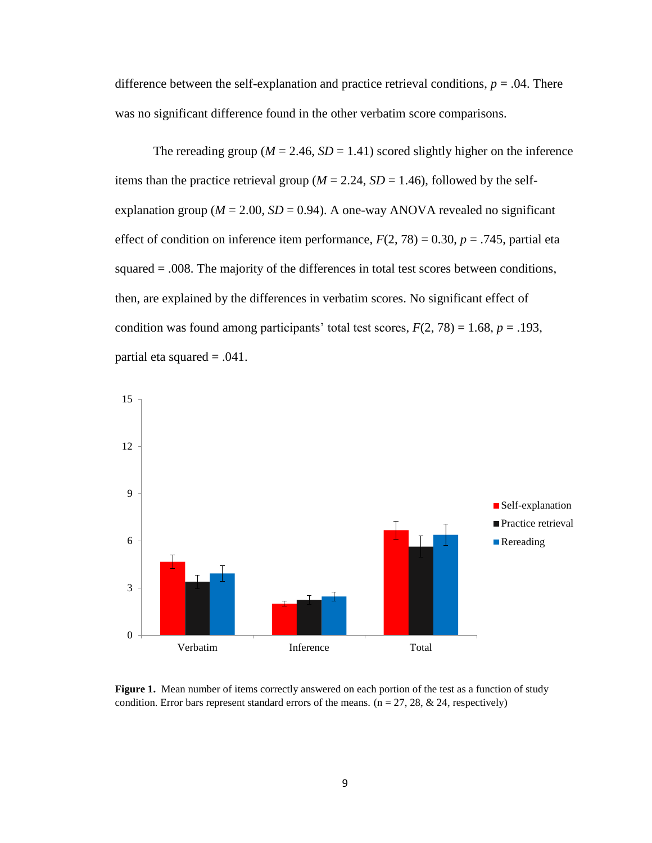difference between the self-explanation and practice retrieval conditions,  $p = .04$ . There was no significant difference found in the other verbatim score comparisons.

The rereading group ( $M = 2.46$ ,  $SD = 1.41$ ) scored slightly higher on the inference items than the practice retrieval group ( $M = 2.24$ ,  $SD = 1.46$ ), followed by the selfexplanation group ( $M = 2.00$ ,  $SD = 0.94$ ). A one-way ANOVA revealed no significant effect of condition on inference item performance,  $F(2, 78) = 0.30$ ,  $p = .745$ , partial eta squared = .008. The majority of the differences in total test scores between conditions, then, are explained by the differences in verbatim scores. No significant effect of condition was found among participants' total test scores,  $F(2, 78) = 1.68$ ,  $p = .193$ , partial eta squared = .041.



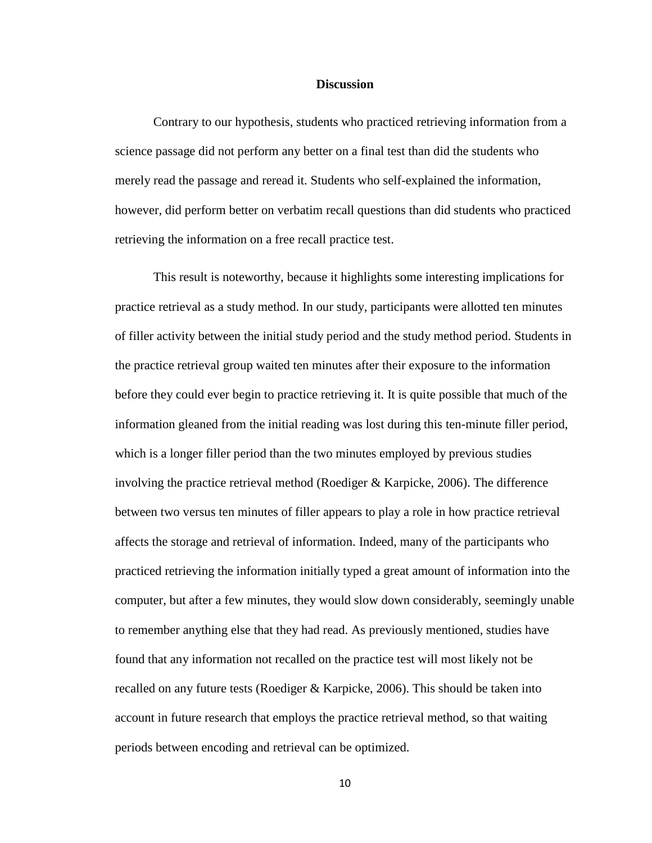#### **Discussion**

Contrary to our hypothesis, students who practiced retrieving information from a science passage did not perform any better on a final test than did the students who merely read the passage and reread it. Students who self-explained the information, however, did perform better on verbatim recall questions than did students who practiced retrieving the information on a free recall practice test.

This result is noteworthy, because it highlights some interesting implications for practice retrieval as a study method. In our study, participants were allotted ten minutes of filler activity between the initial study period and the study method period. Students in the practice retrieval group waited ten minutes after their exposure to the information before they could ever begin to practice retrieving it. It is quite possible that much of the information gleaned from the initial reading was lost during this ten-minute filler period, which is a longer filler period than the two minutes employed by previous studies involving the practice retrieval method (Roediger & Karpicke, 2006). The difference between two versus ten minutes of filler appears to play a role in how practice retrieval affects the storage and retrieval of information. Indeed, many of the participants who practiced retrieving the information initially typed a great amount of information into the computer, but after a few minutes, they would slow down considerably, seemingly unable to remember anything else that they had read. As previously mentioned, studies have found that any information not recalled on the practice test will most likely not be recalled on any future tests (Roediger & Karpicke, 2006). This should be taken into account in future research that employs the practice retrieval method, so that waiting periods between encoding and retrieval can be optimized.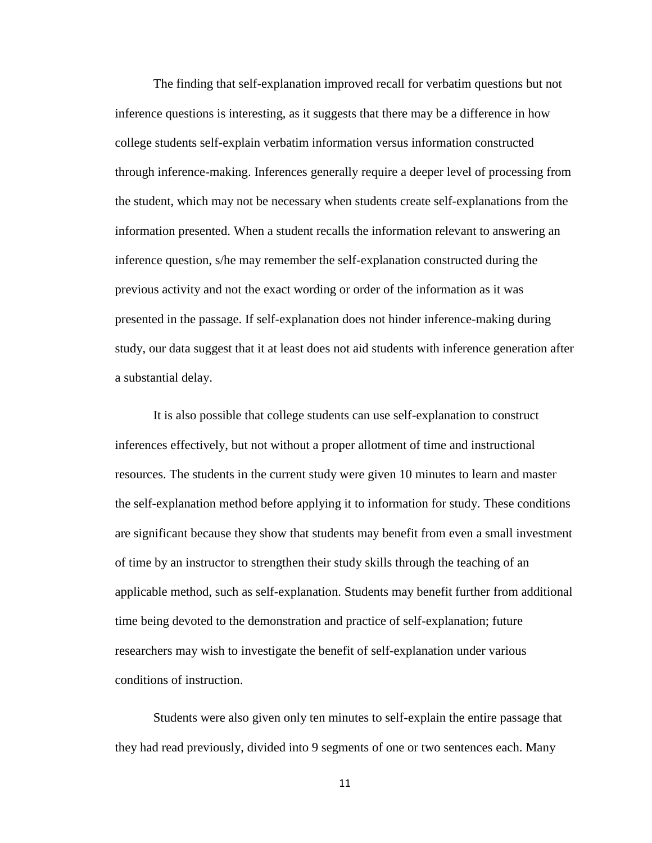The finding that self-explanation improved recall for verbatim questions but not inference questions is interesting, as it suggests that there may be a difference in how college students self-explain verbatim information versus information constructed through inference-making. Inferences generally require a deeper level of processing from the student, which may not be necessary when students create self-explanations from the information presented. When a student recalls the information relevant to answering an inference question, s/he may remember the self-explanation constructed during the previous activity and not the exact wording or order of the information as it was presented in the passage. If self-explanation does not hinder inference-making during study, our data suggest that it at least does not aid students with inference generation after a substantial delay.

It is also possible that college students can use self-explanation to construct inferences effectively, but not without a proper allotment of time and instructional resources. The students in the current study were given 10 minutes to learn and master the self-explanation method before applying it to information for study. These conditions are significant because they show that students may benefit from even a small investment of time by an instructor to strengthen their study skills through the teaching of an applicable method, such as self-explanation. Students may benefit further from additional time being devoted to the demonstration and practice of self-explanation; future researchers may wish to investigate the benefit of self-explanation under various conditions of instruction.

Students were also given only ten minutes to self-explain the entire passage that they had read previously, divided into 9 segments of one or two sentences each. Many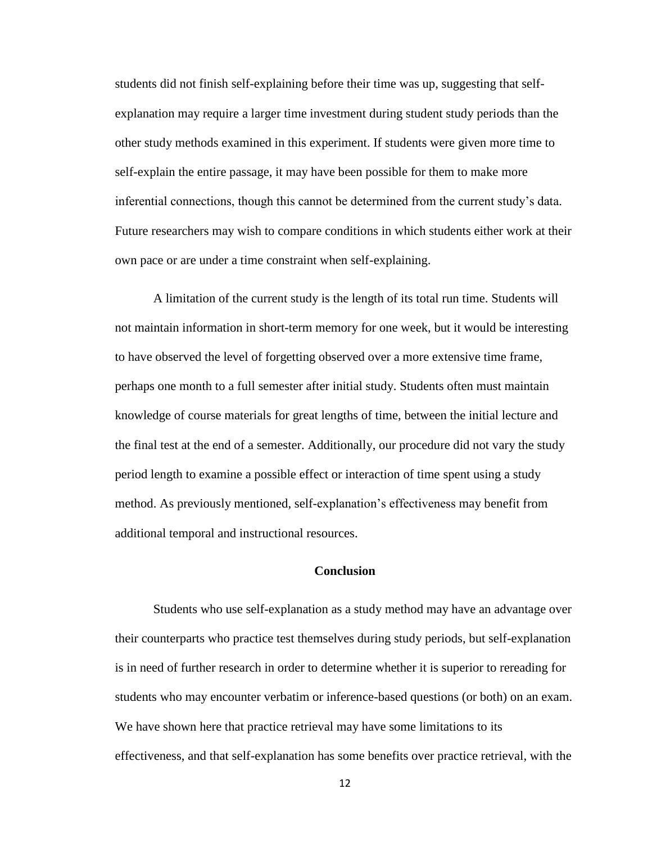students did not finish self-explaining before their time was up, suggesting that selfexplanation may require a larger time investment during student study periods than the other study methods examined in this experiment. If students were given more time to self-explain the entire passage, it may have been possible for them to make more inferential connections, though this cannot be determined from the current study's data. Future researchers may wish to compare conditions in which students either work at their own pace or are under a time constraint when self-explaining.

A limitation of the current study is the length of its total run time. Students will not maintain information in short-term memory for one week, but it would be interesting to have observed the level of forgetting observed over a more extensive time frame, perhaps one month to a full semester after initial study. Students often must maintain knowledge of course materials for great lengths of time, between the initial lecture and the final test at the end of a semester. Additionally, our procedure did not vary the study period length to examine a possible effect or interaction of time spent using a study method. As previously mentioned, self-explanation's effectiveness may benefit from additional temporal and instructional resources.

## **Conclusion**

Students who use self-explanation as a study method may have an advantage over their counterparts who practice test themselves during study periods, but self-explanation is in need of further research in order to determine whether it is superior to rereading for students who may encounter verbatim or inference-based questions (or both) on an exam. We have shown here that practice retrieval may have some limitations to its effectiveness, and that self-explanation has some benefits over practice retrieval, with the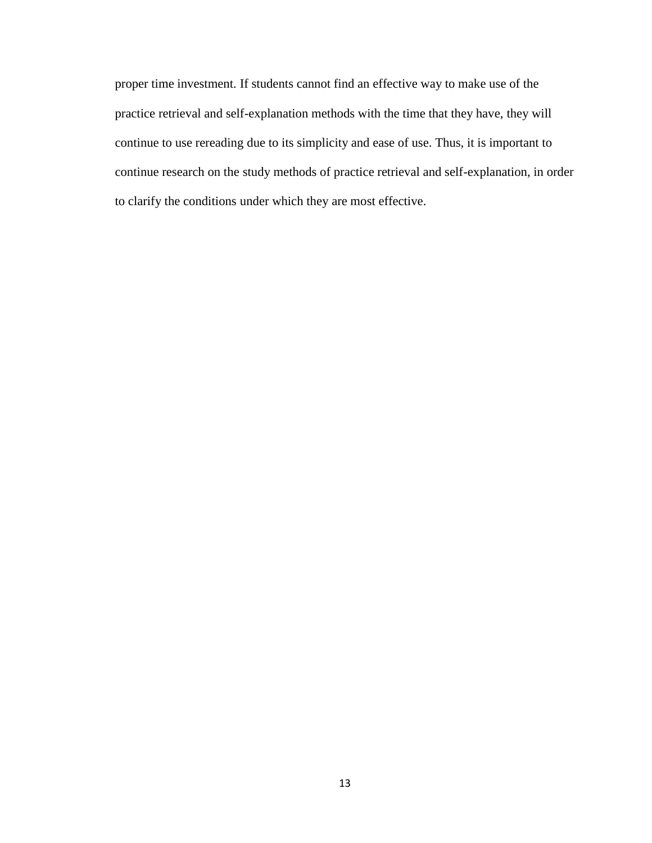proper time investment. If students cannot find an effective way to make use of the practice retrieval and self-explanation methods with the time that they have, they will continue to use rereading due to its simplicity and ease of use. Thus, it is important to continue research on the study methods of practice retrieval and self-explanation, in order to clarify the conditions under which they are most effective.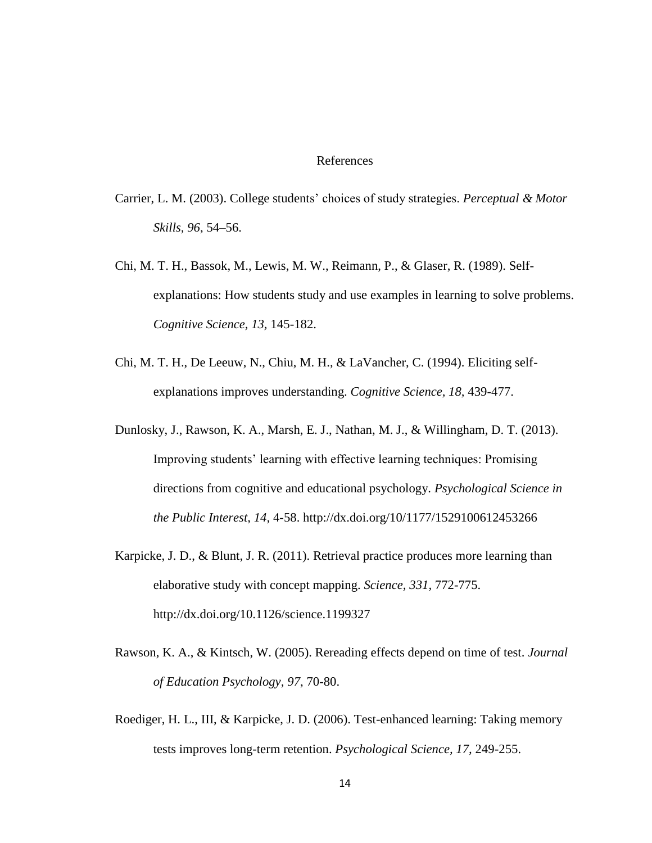## References

- Carrier, L. M. (2003). College students' choices of study strategies. *Perceptual & Motor Skills, 96*, 54–56.
- Chi, M. T. H., Bassok, M., Lewis, M. W., Reimann, P., & Glaser, R. (1989). Selfexplanations: How students study and use examples in learning to solve problems. *Cognitive Science, 13,* 145-182.
- Chi, M. T. H., De Leeuw, N., Chiu, M. H., & LaVancher, C. (1994). Eliciting selfexplanations improves understanding. *Cognitive Science, 18,* 439-477.
- Dunlosky, J., Rawson, K. A., Marsh, E. J., Nathan, M. J., & Willingham, D. T. (2013). Improving students' learning with effective learning techniques: Promising directions from cognitive and educational psychology. *Psychological Science in the Public Interest, 14,* 4-58. http://dx.doi.org/10/1177/1529100612453266
- Karpicke, J. D., & Blunt, J. R. (2011). Retrieval practice produces more learning than elaborative study with concept mapping. *Science, 331,* 772-775. http://dx.doi.org/10.1126/science.1199327
- Rawson, K. A., & Kintsch, W. (2005). Rereading effects depend on time of test. *Journal of Education Psychology, 97*, 70-80.
- Roediger, H. L., III, & Karpicke, J. D. (2006). Test-enhanced learning: Taking memory tests improves long-term retention. *Psychological Science, 17,* 249-255.